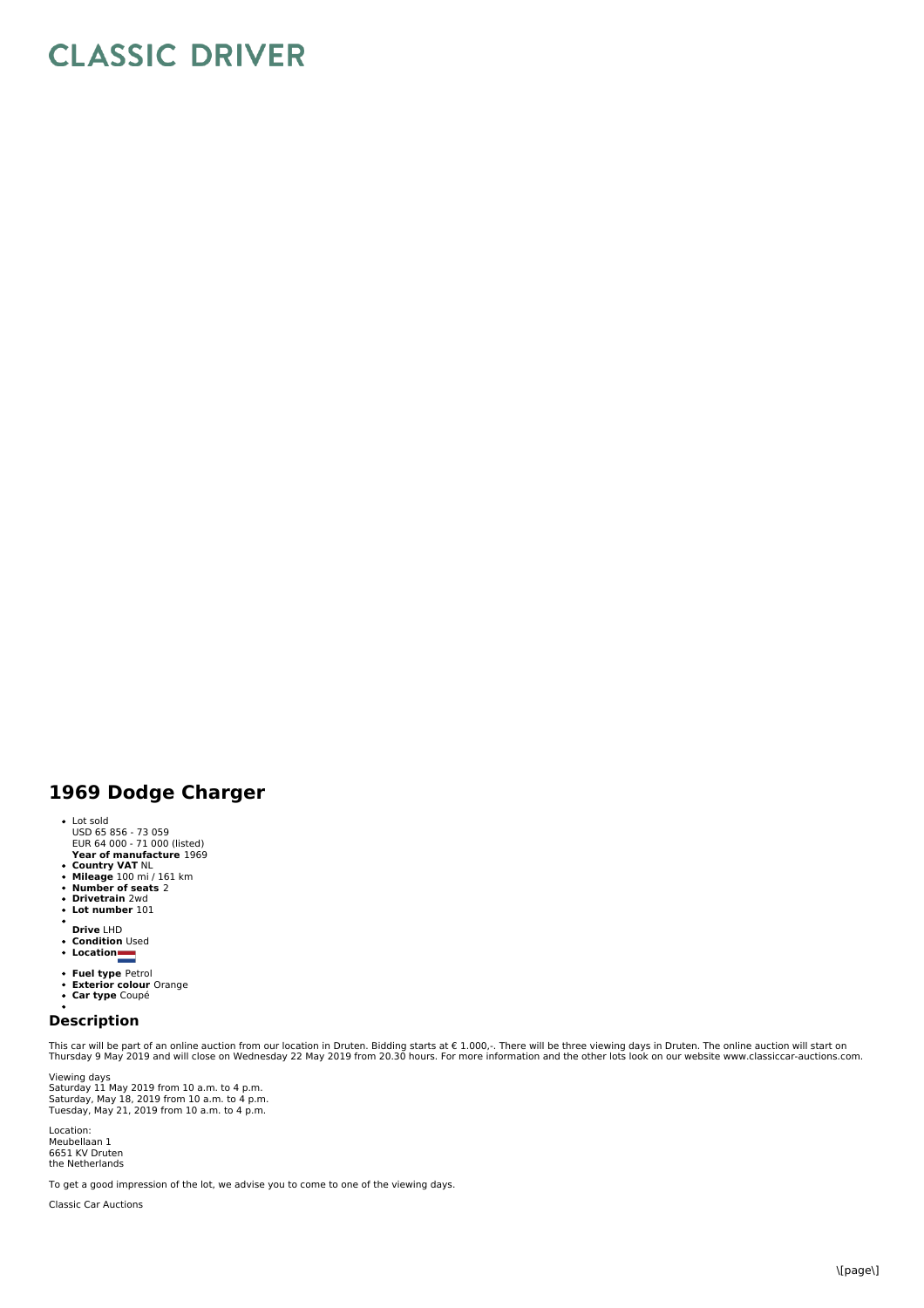## **CLASSIC DRIVER**

## **1969 Dodge Charger**

- Lot sold USD 65 856 - 73 059 EUR 64 000 - 71 000 (listed)
- **Year of manufacture** 1969
- **Country VAT** NL **Mileage** 100 mi / 161 km **Number of seats** 2 **Drivetrain** 2wd **Lot number** 101
- 
- 
- 
- **Drive** LHD
- **Condition** Used
- **Location**
- 
- **Fuel type** Petrol<br>**Exterior colour** Orange<br>**Car type** Coupé
- 

## **Description**

This car will be part of an online auction from our location in Druten. Bidding starts at € 1.000,-. There will be three viewing days in Druten. The online auction will start on<br>Thursday 9 May 2019 and will close on Wedne

Viewing days<br>Saturday 11 May 2019 from 10 a.m. to 4 p.m.<br>Saturday, May 21, 2019 from 10 a.m. to 4 p.m.<br>Tuesday, May 21, 2019 from 10 a.m. to 4 p.m.

Location: Meubellaan 1 6651 KV Druten the Netherlands

To get a good impression of the lot, we advise you to come to one of the viewing days.

Classic Car Auctions